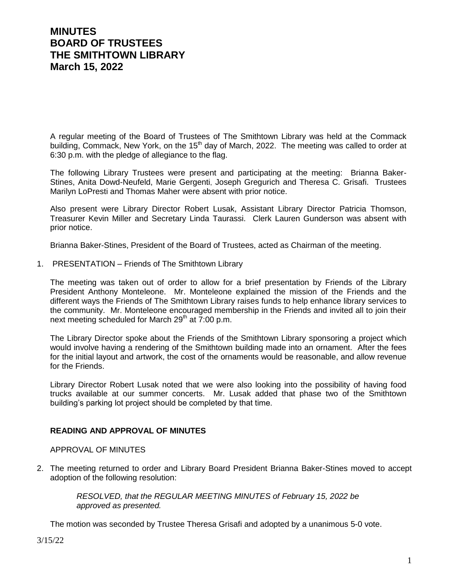# **MINUTES BOARD OF TRUSTEES THE SMITHTOWN LIBRARY March 15, 2022**

A regular meeting of the Board of Trustees of The Smithtown Library was held at the Commack building, Commack, New York, on the 15<sup>th</sup> day of March, 2022. The meeting was called to order at 6:30 p.m. with the pledge of allegiance to the flag.

The following Library Trustees were present and participating at the meeting: Brianna Baker-Stines, Anita Dowd-Neufeld, Marie Gergenti, Joseph Gregurich and Theresa C. Grisafi. Trustees Marilyn LoPresti and Thomas Maher were absent with prior notice.

Also present were Library Director Robert Lusak, Assistant Library Director Patricia Thomson, Treasurer Kevin Miller and Secretary Linda Taurassi. Clerk Lauren Gunderson was absent with prior notice.

Brianna Baker-Stines, President of the Board of Trustees, acted as Chairman of the meeting.

1. PRESENTATION – Friends of The Smithtown Library

The meeting was taken out of order to allow for a brief presentation by Friends of the Library President Anthony Monteleone. Mr. Monteleone explained the mission of the Friends and the different ways the Friends of The Smithtown Library raises funds to help enhance library services to the community. Mr. Monteleone encouraged membership in the Friends and invited all to join their next meeting scheduled for March  $29<sup>th</sup>$  at  $7:00$  p.m.

The Library Director spoke about the Friends of the Smithtown Library sponsoring a project which would involve having a rendering of the Smithtown building made into an ornament. After the fees for the initial layout and artwork, the cost of the ornaments would be reasonable, and allow revenue for the Friends.

Library Director Robert Lusak noted that we were also looking into the possibility of having food trucks available at our summer concerts. Mr. Lusak added that phase two of the Smithtown building's parking lot project should be completed by that time.

#### **READING AND APPROVAL OF MINUTES**

APPROVAL OF MINUTES

2. The meeting returned to order and Library Board President Brianna Baker-Stines moved to accept adoption of the following resolution:

> *RESOLVED, that the REGULAR MEETING MINUTES of February 15, 2022 be approved as presented.*

The motion was seconded by Trustee Theresa Grisafi and adopted by a unanimous 5-0 vote.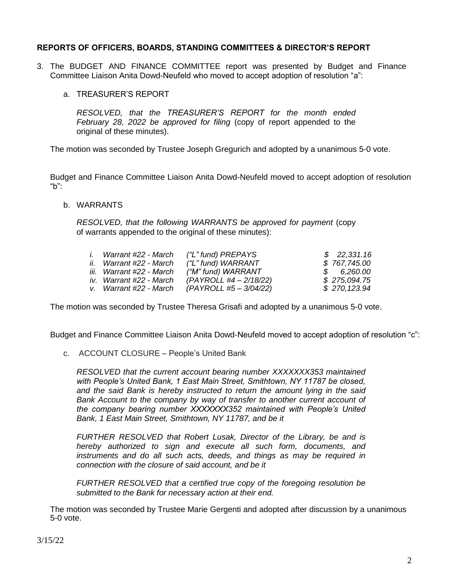## **REPORTS OF OFFICERS, BOARDS, STANDING COMMITTEES & DIRECTOR'S REPORT**

- 3. The BUDGET AND FINANCE COMMITTEE report was presented by Budget and Finance Committee Liaison Anita Dowd-Neufeld who moved to accept adoption of resolution "a":
	- a. TREASURER'S REPORT

*RESOLVED, that the TREASURER'S REPORT for the month ended February 28, 2022 be approved for filing* (copy of report appended to the original of these minutes).

The motion was seconded by Trustee Joseph Gregurich and adopted by a unanimous 5-0 vote.

Budget and Finance Committee Liaison Anita Dowd-Neufeld moved to accept adoption of resolution "b":

b. WARRANTS

*RESOLVED, that the following WARRANTS be approved for payment* (copy of warrants appended to the original of these minutes):

| $\mathbf{L}$ | Warrant #22 - March      | ("L" fund) PREPAYS     | \$22,331.16  |
|--------------|--------------------------|------------------------|--------------|
|              | ii. Warrant #22 - March  | ("L" fund) WARRANT     | \$767,745.00 |
|              | iii. Warrant #22 - March | ("M" fund) WARRANT     | \$6,260.00   |
|              | iv. Warrant #22 - March  | (PAYROLL #4 - 2/18/22) | \$275,094.75 |
|              | v. Warrant #22 - March   | (PAYROLL #5 – 3/04/22) | \$270,123.94 |

The motion was seconded by Trustee Theresa Grisafi and adopted by a unanimous 5-0 vote.

Budget and Finance Committee Liaison Anita Dowd-Neufeld moved to accept adoption of resolution "c":

c. ACCOUNT CLOSURE – People's United Bank

*RESOLVED that the current account bearing number XXXXXXX353 maintained with People's United Bank, 1 East Main Street, Smithtown, NY 11787 be closed, and the said Bank is hereby instructed to return the amount lying in the said Bank Account to the company by way of transfer to another current account of the company bearing number XXXXXXX352 maintained with People's United Bank, 1 East Main Street, Smithtown, NY 11787, and be it*

*FURTHER RESOLVED that Robert Lusak, Director of the Library, be and is hereby authorized to sign and execute all such form, documents, and instruments and do all such acts, deeds, and things as may be required in connection with the closure of said account, and be it*

*FURTHER RESOLVED that a certified true copy of the foregoing resolution be submitted to the Bank for necessary action at their end.*

The motion was seconded by Trustee Marie Gergenti and adopted after discussion by a unanimous 5-0 vote.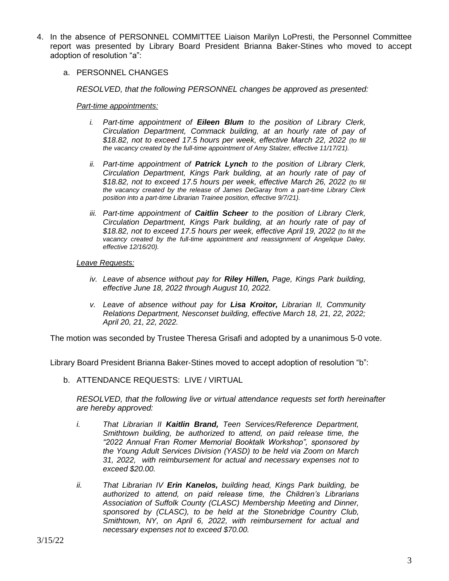- 4. In the absence of PERSONNEL COMMITTEE Liaison Marilyn LoPresti, the Personnel Committee report was presented by Library Board President Brianna Baker-Stines who moved to accept adoption of resolution "a":
	- a. PERSONNEL CHANGES

*RESOLVED, that the following PERSONNEL changes be approved as presented:*

#### *Part-time appointments:*

- *i. Part-time appointment of Eileen Blum to the position of Library Clerk, Circulation Department, Commack building, at an hourly rate of pay of \$18.82, not to exceed 17.5 hours per week, effective March 22, 2022 (to fill the vacancy created by the full-time appointment of Amy Stalzer, effective 11/17/21).*
- *ii. Part-time appointment of Patrick Lynch to the position of Library Clerk, Circulation Department, Kings Park building, at an hourly rate of pay of \$18.82, not to exceed 17.5 hours per week, effective March 26, 2022 (to fill the vacancy created by the release of James DeGaray from a part-time Library Clerk position into a part-time Librarian Trainee position, effective 9/7/21).*
- *iii. Part-time appointment of Caitlin Scheer to the position of Library Clerk, Circulation Department, Kings Park building, at an hourly rate of pay of \$18.82, not to exceed 17.5 hours per week, effective April 19, 2022 (to fill the*  vacancy created by the full-time appointment and reassignment of Angelique Daley, *effective 12/16/20).*

#### *Leave Requests:*

- *iv. Leave of absence without pay for Riley Hillen, Page, Kings Park building, effective June 18, 2022 through August 10, 2022.*
- *v. Leave of absence without pay for Lisa Kroitor, Librarian II, Community Relations Department, Nesconset building, effective March 18, 21, 22, 2022; April 20, 21, 22, 2022.*

The motion was seconded by Trustee Theresa Grisafi and adopted by a unanimous 5-0 vote.

Library Board President Brianna Baker-Stines moved to accept adoption of resolution "b":

b. ATTENDANCE REQUESTS: LIVE / VIRTUAL

*RESOLVED, that the following live or virtual attendance requests set forth hereinafter are hereby approved:*

- *i. That Librarian II Kaitlin Brand, Teen Services/Reference Department, Smithtown building, be authorized to attend, on paid release time, the "2022 Annual Fran Romer Memorial Booktalk Workshop", sponsored by the Young Adult Services Division (YASD) to be held via Zoom on March 31, 2022, with reimbursement for actual and necessary expenses not to exceed \$20.00.*
- *ii. That Librarian IV Erin Kanelos, building head, Kings Park building, be authorized to attend, on paid release time, the Children's Librarians Association of Suffolk County (CLASC) Membership Meeting and Dinner, sponsored by (CLASC), to be held at the Stonebridge Country Club, Smithtown, NY, on April 6, 2022, with reimbursement for actual and necessary expenses not to exceed \$70.00.*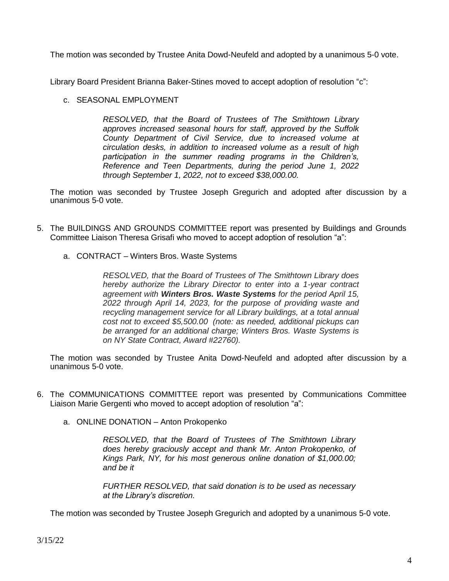The motion was seconded by Trustee Anita Dowd-Neufeld and adopted by a unanimous 5-0 vote.

Library Board President Brianna Baker-Stines moved to accept adoption of resolution "c":

## c. SEASONAL EMPLOYMENT

*RESOLVED, that the Board of Trustees of The Smithtown Library approves increased seasonal hours for staff, approved by the Suffolk County Department of Civil Service, due to increased volume at circulation desks, in addition to increased volume as a result of high participation in the summer reading programs in the Children's, Reference and Teen Departments, during the period June 1, 2022 through September 1, 2022, not to exceed \$38,000.00.*

The motion was seconded by Trustee Joseph Gregurich and adopted after discussion by a unanimous 5-0 vote.

- 5. The BUILDINGS AND GROUNDS COMMITTEE report was presented by Buildings and Grounds Committee Liaison Theresa Grisafi who moved to accept adoption of resolution "a":
	- a. CONTRACT Winters Bros. Waste Systems

*RESOLVED, that the Board of Trustees of The Smithtown Library does hereby authorize the Library Director to enter into a 1-year contract agreement with Winters Bros. Waste Systems for the period April 15, 2022 through April 14, 2023, for the purpose of providing waste and recycling management service for all Library buildings, at a total annual cost not to exceed \$5,500.00 (note: as needed, additional pickups can be arranged for an additional charge; Winters Bros. Waste Systems is on NY State Contract, Award #22760).*

The motion was seconded by Trustee Anita Dowd-Neufeld and adopted after discussion by a unanimous 5-0 vote.

- 6. The COMMUNICATIONS COMMITTEE report was presented by Communications Committee Liaison Marie Gergenti who moved to accept adoption of resolution "a":
	- a. ONLINE DONATION Anton Prokopenko

*RESOLVED, that the Board of Trustees of The Smithtown Library does hereby graciously accept and thank Mr. Anton Prokopenko, of Kings Park, NY, for his most generous online donation of \$1,000.00; and be it*

*FURTHER RESOLVED, that said donation is to be used as necessary at the Library's discretion.*

The motion was seconded by Trustee Joseph Gregurich and adopted by a unanimous 5-0 vote.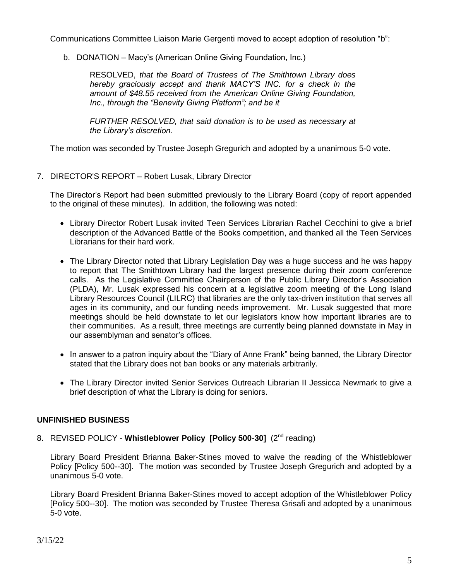Communications Committee Liaison Marie Gergenti moved to accept adoption of resolution "b":

b. DONATION – Macy's (American Online Giving Foundation, Inc.)

RESOLVED, *that the Board of Trustees of The Smithtown Library does hereby graciously accept and thank MACY'S INC. for a check in the amount of \$48.55 received from the American Online Giving Foundation, Inc., through the "Benevity Giving Platform"; and be it*

*FURTHER RESOLVED, that said donation is to be used as necessary at the Library's discretion.*

The motion was seconded by Trustee Joseph Gregurich and adopted by a unanimous 5-0 vote.

7. DIRECTOR'S REPORT – Robert Lusak, Library Director

The Director's Report had been submitted previously to the Library Board (copy of report appended to the original of these minutes). In addition, the following was noted:

- Library Director Robert Lusak invited Teen Services Librarian Rachel Cecchini to give a brief description of the Advanced Battle of the Books competition, and thanked all the Teen Services Librarians for their hard work.
- The Library Director noted that Library Legislation Day was a huge success and he was happy to report that The Smithtown Library had the largest presence during their zoom conference calls. As the Legislative Committee Chairperson of the Public Library Director's Association (PLDA), Mr. Lusak expressed his concern at a legislative zoom meeting of the Long Island Library Resources Council (LILRC) that libraries are the only tax-driven institution that serves all ages in its community, and our funding needs improvement. Mr. Lusak suggested that more meetings should be held downstate to let our legislators know how important libraries are to their communities. As a result, three meetings are currently being planned downstate in May in our assemblyman and senator's offices.
- In answer to a patron inquiry about the "Diary of Anne Frank" being banned, the Library Director stated that the Library does not ban books or any materials arbitrarily.
- The Library Director invited Senior Services Outreach Librarian II Jessicca Newmark to give a brief description of what the Library is doing for seniors.

## **UNFINISHED BUSINESS**

8. REVISED POLICY - Whistleblower Policy [Policy 500-30] (2<sup>nd</sup> reading)

Library Board President Brianna Baker-Stines moved to waive the reading of the Whistleblower Policy [Policy 500--30]. The motion was seconded by Trustee Joseph Gregurich and adopted by a unanimous 5-0 vote.

Library Board President Brianna Baker-Stines moved to accept adoption of the Whistleblower Policy [Policy 500--30]. The motion was seconded by Trustee Theresa Grisafi and adopted by a unanimous 5-0 vote.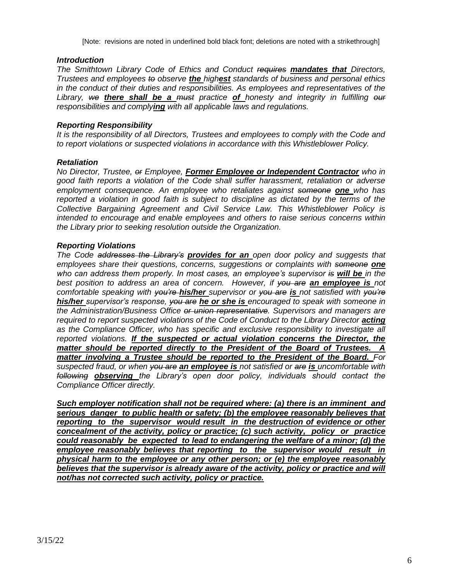[Note: revisions are noted in underlined bold black font; deletions are noted with a strikethrough]

### *Introduction*

*The Smithtown Library Code of Ethics and Conduct requires mandates that Directors, Trustees and employees to observe the highest standards of business and personal ethics in the conduct of their duties and responsibilities. As employees and representatives of the Library, we there shall be a must practice of honesty and integrity in fulfilling our responsibilities and complying with all applicable laws and regulations.*

### *Reporting Responsibility*

*It is the responsibility of all Directors, Trustees and employees to comply with the Code and to report violations or suspected violations in accordance with this Whistleblower Policy.*

### *Retaliation*

*No Director, Trustee, or Employee, Former Employee or Independent Contractor who in good faith reports a violation of the Code shall suffer harassment, retaliation or adverse employment consequence. An employee who retaliates against someone one who has reported a violation in good faith is subject to discipline as dictated by the terms of the Collective Bargaining Agreement and Civil Service Law. This Whistleblower Policy is intended to encourage and enable employees and others to raise serious concerns within the Library prior to seeking resolution outside the Organization.*

### *Reporting Violations*

*The Code addresses the Library's provides for an open door policy and suggests that employees share their questions, concerns, suggestions or complaints with someone one who can address them properly. In most cases, an employee's supervisor is will be in the best position to address an area of concern. However, if you are an employee is not comfortable speaking with you're his/her supervisor or you are is not satisfied with you're his/her supervisor's response, you are he or she is encouraged to speak with someone in the Administration/Business Office or union representative. Supervisors and managers are required to report suspected violations of the Code of Conduct to the Library Director <i>acting as the Compliance Officer, who has specific and exclusive responsibility to investigate all reported violations. If the suspected or actual violation concerns the Director, the matter should be reported directly to the President of the Board of Trustees. A*  **matter involving a Trustee should be reported to the President of the Board.** For *suspected fraud, or when you are an employee is not satisfied or are is uncomfortable with following observing the Library's open door policy, individuals should contact the Compliance Officer directly.* 

*Such employer notification shall not be required where: (a) there is an imminent and serious danger to public health or safety; (b) the employee reasonably believes that reporting to the supervisor would result in the destruction of evidence or other concealment of the activity, policy or practice; (c) such activity, policy or practice could reasonably be expected to lead to endangering the welfare of a minor; (d) the employee reasonably believes that reporting to the supervisor would result in physical harm to the employee or any other person; or (e) the employee reasonably believes that the supervisor is already aware of the activity, policy or practice and will not/has not corrected such activity, policy or practice.*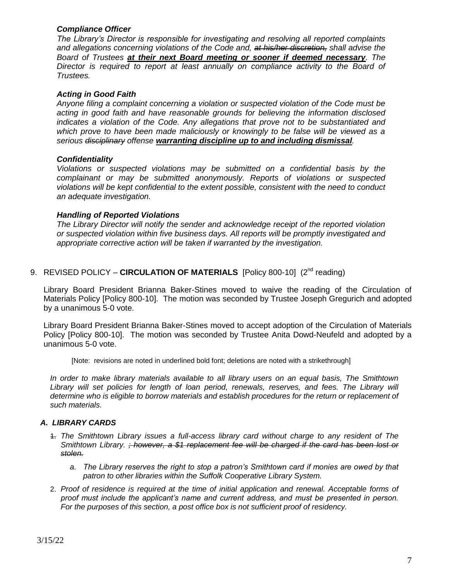## *Compliance Officer*

*The Library's Director is responsible for investigating and resolving all reported complaints and allegations concerning violations of the Code and, at his/her discretion, shall advise the Board of Trustees at their next Board meeting or sooner if deemed necessary. The Director is required to report at least annually on compliance activity to the Board of Trustees.* 

#### *Acting in Good Faith*

*Anyone filing a complaint concerning a violation or suspected violation of the Code must be acting in good faith and have reasonable grounds for believing the information disclosed indicates a violation of the Code. Any allegations that prove not to be substantiated and which prove to have been made maliciously or knowingly to be false will be viewed as a serious disciplinary offense warranting discipline up to and including dismissal.*

### *Confidentiality*

*Violations or suspected violations may be submitted on a confidential basis by the complainant or may be submitted anonymously. Reports of violations or suspected violations will be kept confidential to the extent possible, consistent with the need to conduct an adequate investigation.*

### *Handling of Reported Violations*

*The Library Director will notify the sender and acknowledge receipt of the reported violation or suspected violation within five business days. All reports will be promptly investigated and appropriate corrective action will be taken if warranted by the investigation.* 

## 9. REVISED POLICY - CIRCULATION OF MATERIALS [Policy 800-10] (2<sup>nd</sup> reading)

Library Board President Brianna Baker-Stines moved to waive the reading of the Circulation of Materials Policy [Policy 800-10]. The motion was seconded by Trustee Joseph Gregurich and adopted by a unanimous 5-0 vote.

Library Board President Brianna Baker-Stines moved to accept adoption of the Circulation of Materials Policy [Policy 800-10]. The motion was seconded by Trustee Anita Dowd-Neufeld and adopted by a unanimous 5-0 vote.

[Note: revisions are noted in underlined bold font; deletions are noted with a strikethrough]

*In order to make library materials available to all library users on an equal basis, The Smithtown*  Library will set policies for length of loan period, renewals, reserves, and fees. The Library will *determine who is eligible to borrow materials and establish procedures for the return or replacement of such materials.*

#### *A. LIBRARY CARDS*

- 1. *The Smithtown Library issues a full-access library card without charge to any resident of The Smithtown Library. ; however, a \$1 replacement fee will be charged if the card has been lost or stolen.*
	- *a. The Library reserves the right to stop a patron's Smithtown card if monies are owed by that patron to other libraries within the Suffolk Cooperative Library System.*
- 2. *Proof of residence is required at the time of initial application and renewal. Acceptable forms of proof must include the applicant's name and current address, and must be presented in person. For the purposes of this section, a post office box is not sufficient proof of residency.*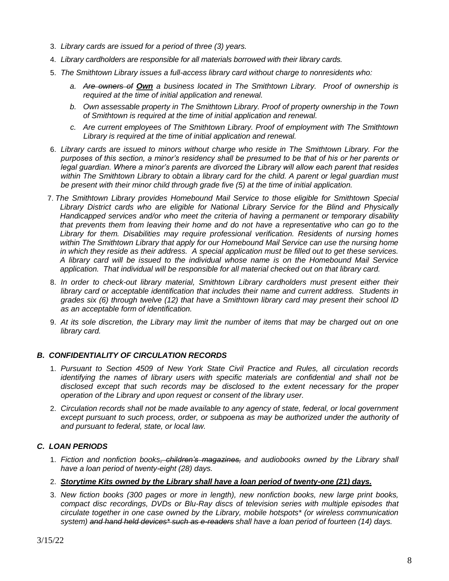- 3. *Library cards are issued for a period of three (3) years.*
- 4. *Library cardholders are responsible for all materials borrowed with their library cards.*
- 5. *The Smithtown Library issues a full-access library card without charge to nonresidents who:*
	- *a. Are owners of Own a business located in The Smithtown Library. Proof of ownership is required at the time of initial application and renewal.*
	- *b. Own assessable property in The Smithtown Library. Proof of property ownership in the Town of Smithtown is required at the time of initial application and renewal.*
	- *c. Are current employees of The Smithtown Library. Proof of employment with The Smithtown Library is required at the time of initial application and renewal.*
- 6. *Library cards are issued to minors without charge who reside in The Smithtown Library. For the purposes of this section, a minor's residency shall be presumed to be that of his or her parents or legal guardian. Where a minor's parents are divorced the Library will allow each parent that resides within The Smithtown Library to obtain a library card for the child. A parent or legal guardian must be present with their minor child through grade five (5) at the time of initial application.*
- 7. *The Smithtown Library provides Homebound Mail Service to those eligible for Smithtown Special Library District cards who are eligible for National Library Service for the Blind and Physically Handicapped services and/or who meet the criteria of having a permanent or temporary disability that prevents them from leaving their home and do not have a representative who can go to the Library for them. Disabilities may require professional verification. Residents of nursing homes within The Smithtown Library that apply for our Homebound Mail Service can use the nursing home in which they reside as their address. A special application must be filled out to get these services. A library card will be issued to the individual whose name is on the Homebound Mail Service application. That individual will be responsible for all material checked out on that library card.*
- 8. *In order to check-out library material, Smithtown Library cardholders must present either their library card or acceptable identification that includes their name and current address. Students in grades six (6) through twelve (12) that have a Smithtown library card may present their school ID as an acceptable form of identification.*
- 9. *At its sole discretion, the Library may limit the number of items that may be charged out on one library card.*

#### *B. CONFIDENTIALITY OF CIRCULATION RECORDS*

- 1. *Pursuant to Section 4509 of New York State Civil Practice and Rules, all circulation records identifying the names of library users with specific materials are confidential and shall not be disclosed except that such records may be disclosed to the extent necessary for the proper operation of the Library and upon request or consent of the library user.*
- 2. *Circulation records shall not be made available to any agency of state, federal, or local government except pursuant to such process, order, or subpoena as may be authorized under the authority of and pursuant to federal, state, or local law.*

## *C. LOAN PERIODS*

- 1. *Fiction and nonfiction books, children's magazines, and audiobooks owned by the Library shall have a loan period of twenty-eight (28) days.*
- 2. *Storytime Kits owned by the Library shall have a loan period of twenty-one (21) days.*
- 3. *New fiction books (300 pages or more in length), new nonfiction books, new large print books, compact disc recordings, DVDs or Blu-Ray discs of television series with multiple episodes that circulate together in one case owned by the Library, mobile hotspots\* (or wireless communication system) and hand held devices\* such as e-readers shall have a loan period of fourteen (14) days.*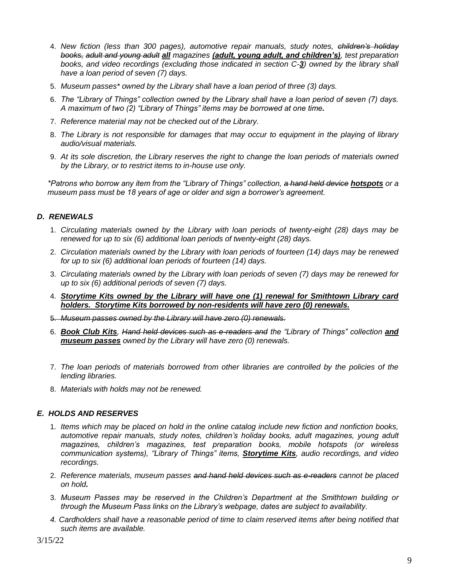- 4. *New fiction (less than 300 pages), automotive repair manuals, study notes, children's holiday books, adult and young adult all magazines (adult, young adult, and children's), test preparation books, and video recordings (excluding those indicated in section C-3) owned by the library shall have a loan period of seven (7) days.*
- 5. *Museum passes\* owned by the Library shall have a loan period of three (3) days.*
- 6. *The "Library of Things" collection owned by the Library shall have a loan period of seven (7) days. A maximum of two (2) "Library of Things" items may be borrowed at one time.*
- 7. *Reference material may not be checked out of the Library.*
- 8. *The Library is not responsible for damages that may occur to equipment in the playing of library audio/visual materials.*
- 9. *At its sole discretion, the Library reserves the right to change the loan periods of materials owned by the Library, or to restrict items to in-house use only.*

*\*Patrons who borrow any item from the "Library of Things" collection, a hand held device hotspots or a museum pass must be 18 years of age or older and sign a borrower's agreement.*

## *D. RENEWALS*

- 1. *Circulating materials owned by the Library with loan periods of twenty-eight (28) days may be renewed for up to six (6) additional loan periods of twenty-eight (28) days.*
- 2. *Circulation materials owned by the Library with loan periods of fourteen (14) days may be renewed for up to six (6) additional loan periods of fourteen (14) days.*
- 3. *Circulating materials owned by the Library with loan periods of seven (7) days may be renewed for up to six (6) additional periods of seven (7) days.*
- 4. *Storytime Kits owned by the Library will have one (1) renewal for Smithtown Library card holders. Storytime Kits borrowed by non-residents will have zero (0) renewals.*
- 5. *Museum passes owned by the Library will have zero (0) renewals.*
- 6. *Book Club Kits, Hand held devices such as e-readers and the "Library of Things" collection and museum passes owned by the Library will have zero (0) renewals.*
- 7. *The loan periods of materials borrowed from other libraries are controlled by the policies of the lending libraries.*
- 8. *Materials with holds may not be renewed.*

## *E. HOLDS AND RESERVES*

- 1. *Items which may be placed on hold in the online catalog include new fiction and nonfiction books, automotive repair manuals, study notes, children's holiday books, adult magazines, young adult magazines, children's magazines, test preparation books, mobile hotspots (or wireless communication systems), "Library of Things" items, Storytime Kits, audio recordings, and video recordings.*
- 2. *Reference materials, museum passes and hand held devices such as e-readers cannot be placed on hold.*
- 3. *Museum Passes may be reserved in the Children's Department at the Smithtown building or through the Museum Pass links on the Library's webpage, dates are subject to availability.*
- *4. Cardholders shall have a reasonable period of time to claim reserved items after being notified that such items are available.*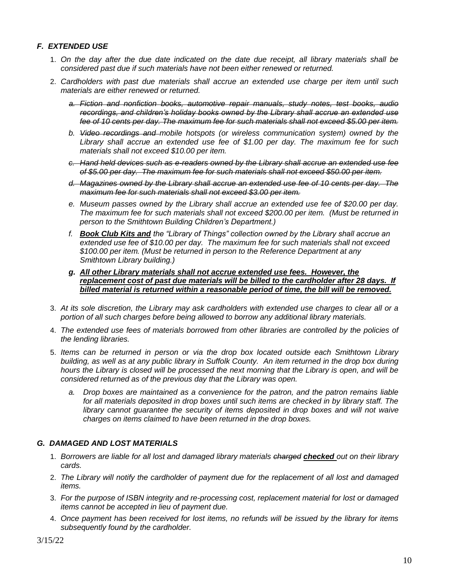## *F. EXTENDED USE*

- 1. *On the day after the due date indicated on the date due receipt, all library materials shall be considered past due if such materials have not been either renewed or returned.*
- 2. *Cardholders with past due materials shall accrue an extended use charge per item until such materials are either renewed or returned.* 
	- *a. Fiction and nonfiction books, automotive repair manuals, study notes, test books, audio recordings, and children's holiday books owned by the Library shall accrue an extended use fee of 10 cents per day. The maximum fee for such materials shall not exceed \$5.00 per item.*
	- *b. Video recordings and mobile hotspots (or wireless communication system) owned by the Library shall accrue an extended use fee of \$1.00 per day. The maximum fee for such materials shall not exceed \$10.00 per item.*
	- *c. Hand held devices such as e-readers owned by the Library shall accrue an extended use fee of \$5.00 per day. The maximum fee for such materials shall not exceed \$50.00 per item.*
	- *d. Magazines owned by the Library shall accrue an extended use fee of 10 cents per day. The maximum fee for such materials shall not exceed \$3.00 per item.*
	- *e. Museum passes owned by the Library shall accrue an extended use fee of \$20.00 per day. The maximum fee for such materials shall not exceed \$200.00 per item. (Must be returned in person to the Smithtown Building Children's Department.)*
	- *f. Book Club Kits and the "Library of Things" collection owned by the Library shall accrue an extended use fee of \$10.00 per day. The maximum fee for such materials shall not exceed \$100.00 per item. (Must be returned in person to the Reference Department at any Smithtown Library building.)*
	- *g. All other Library materials shall not accrue extended use fees. However, the replacement cost of past due materials will be billed to the cardholder after 28 days. If billed material is returned within a reasonable period of time, the bill will be removed.*
- 3. *At its sole discretion, the Library may ask cardholders with extended use charges to clear all or a portion of all such charges before being allowed to borrow any additional library materials.*
- 4. *The extended use fees of materials borrowed from other libraries are controlled by the policies of the lending libraries.*
- 5. *Items can be returned in person or via the drop box located outside each Smithtown Library building, as well as at any public library in Suffolk County. An item returned in the drop box during hours the Library is closed will be processed the next morning that the Library is open, and will be considered returned as of the previous day that the Library was open.*
	- *a. Drop boxes are maintained as a convenience for the patron, and the patron remains liable for all materials deposited in drop boxes until such items are checked in by library staff. The library cannot quarantee the security of items deposited in drop boxes and will not waive charges on items claimed to have been returned in the drop boxes.*

## *G. DAMAGED AND LOST MATERIALS*

- 1. *Borrowers are liable for all lost and damaged library materials charged checked out on their library cards.*
- 2. *The Library will notify the cardholder of payment due for the replacement of all lost and damaged items.*
- 3. *For the purpose of ISBN integrity and re-processing cost, replacement material for lost or damaged items cannot be accepted in lieu of payment due.*
- 4. *Once payment has been received for lost items, no refunds will be issued by the library for items subsequently found by the cardholder.*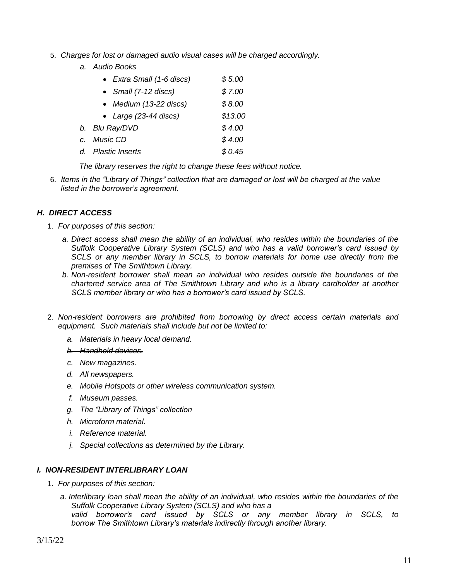- 5. *Charges for lost or damaged audio visual cases will be charged accordingly.*
	- *a. Audio Books*

| • Extra Small (1-6 discs) | \$5.00  |
|---------------------------|---------|
| • Small (7-12 discs)      | \$7.00  |
| • Medium (13-22 discs)    | \$8.00  |
| • Large (23-44 discs)     | \$13.00 |
| b. Blu Ray/DVD            | \$4.00  |
| c. Music CD               | \$4.00  |
| d. Plastic Inserts        | \$0.45  |
|                           |         |

*The library reserves the right to change these fees without notice.*

6. *Items in the "Library of Things" collection that are damaged or lost will be charged at the value listed in the borrower's agreement.*

## *H. DIRECT ACCESS*

- 1. *For purposes of this section:* 
	- *a. Direct access shall mean the ability of an individual, who resides within the boundaries of the Suffolk Cooperative Library System (SCLS) and who has a valid borrower's card issued by SCLS or any member library in SCLS, to borrow materials for home use directly from the premises of The Smithtown Library.*
	- *b. Non-resident borrower shall mean an individual who resides outside the boundaries of the chartered service area of The Smithtown Library and who is a library cardholder at another SCLS member library or who has a borrower's card issued by SCLS.*
- 2. *Non-resident borrowers are prohibited from borrowing by direct access certain materials and equipment. Such materials shall include but not be limited to:*
	- *a. Materials in heavy local demand.*
	- *b. Handheld devices.*
	- *c. New magazines.*
	- *d. All newspapers.*
	- *e. Mobile Hotspots or other wireless communication system.*
	- *f. Museum passes.*
	- *g. The "Library of Things" collection*
	- *h. Microform material.*
	- *i. Reference material.*
	- *j. Special collections as determined by the Library.*

#### *I. NON-RESIDENT INTERLIBRARY LOAN*

- 1. *For purposes of this section:* 
	- *a. Interlibrary loan shall mean the ability of an individual, who resides within the boundaries of the Suffolk Cooperative Library System (SCLS) and who has a valid borrower's card issued by SCLS or any member library in SCLS, to borrow The Smithtown Library's materials indirectly through another library.*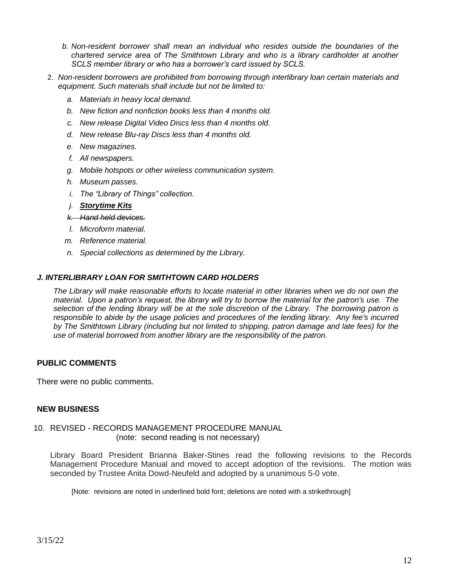- *b. Non-resident borrower shall mean an individual who resides outside the boundaries of the chartered service area of The Smithtown Library and who is a library cardholder at another SCLS member library or who has a borrower's card issued by SCLS.*
- 2. *Non-resident borrowers are prohibited from borrowing through interlibrary loan certain materials and equipment. Such materials shall include but not be limited to:*
	- *a. Materials in heavy local demand.*
	- *b. New fiction and nonfiction books less than 4 months old.*
	- *c. New release Digital Video Discs less than 4 months old.*
	- *d. New release Blu-ray Discs less than 4 months old.*
	- *e. New magazines.*
	- *f. All newspapers.*
	- *g. Mobile hotspots or other wireless communication system.*
	- *h. Museum passes.*
	- *i. The "Library of Things" collection.*
	- *j. Storytime Kits*
	- *k. Hand held devices.*
	- *l. Microform material.*
	- *m. Reference material.*
	- *n. Special collections as determined by the Library.*

### *J. INTERLIBRARY LOAN FOR SMITHTOWN CARD HOLDERS*

*The Library will make reasonable efforts to locate material in other libraries when we do not own the material. Upon a patron's request, the library will try to borrow the material for the patron's use. The selection of the lending library will be at the sole discretion of the Library. The borrowing patron is responsible to abide by the usage policies and procedures of the lending library. Any fee's incurred by The Smithtown Library (including but not limited to shipping, patron damage and late fees) for the use of material borrowed from another library are the responsibility of the patron.* 

## **PUBLIC COMMENTS**

There were no public comments.

## **NEW BUSINESS**

### 10. REVISED - RECORDS MANAGEMENT PROCEDURE MANUAL (note: second reading is not necessary)

Library Board President Brianna Baker-Stines read the following revisions to the Records Management Procedure Manual and moved to accept adoption of the revisions. The motion was seconded by Trustee Anita Dowd-Neufeld and adopted by a unanimous 5-0 vote.

[Note: revisions are noted in underlined bold font; deletions are noted with a strikethrough]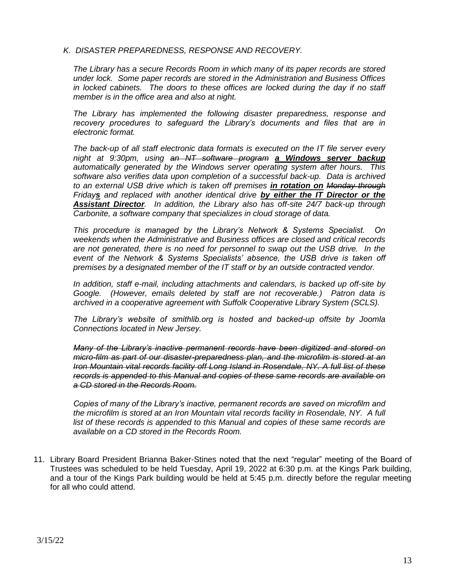#### *K. DISASTER PREPAREDNESS, RESPONSE AND RECOVERY.*

*The Library has a secure Records Room in which many of its paper records are stored under lock. Some paper records are stored in the Administration and Business Offices in locked cabinets. The doors to these offices are locked during the day if no staff member is in the office area and also at night.*

*The Library has implemented the following disaster preparedness, response and recovery procedures to safeguard the Library's documents and files that are in electronic format.*

*The back-up of all staff electronic data formats is executed on the IT file server every night at 9:30pm, using an NT software program a Windows server backup automatically generated by the Windows server operating system after hours. This software also verifies data upon completion of a successful back-up. Data is archived to an external USB drive which is taken off premises in rotation on Monday through Fridays and replaced with another identical drive by either the IT Director or the Assistant Director. In addition, the Library also has off-site 24/7 back-up through Carbonite, a software company that specializes in cloud storage of data.*

*This procedure is managed by the Library's Network & Systems Specialist. On weekends when the Administrative and Business offices are closed and critical records are not generated, there is no need for personnel to swap out the USB drive. In the event of the Network & Systems Specialists' absence, the USB drive is taken off premises by a designated member of the IT staff or by an outside contracted vendor.*

*In addition, staff e-mail, including attachments and calendars, is backed up off-site by Google. (However, emails deleted by staff are not recoverable.) Patron data is archived in a cooperative agreement with Suffolk Cooperative Library System (SCLS).*

*The Library's website of smithlib.org is hosted and backed-up offsite by Joomla Connections located in New Jersey.*

*Many of the Library's inactive permanent records have been digitized and stored on micro-film as part of our disaster-preparedness plan, and the microfilm is stored at an Iron Mountain vital records facility off Long Island in Rosendale, NY. A full list of these records is appended to this Manual and copies of these same records are available on a CD stored in the Records Room.*

*Copies of many of the Library's inactive, permanent records are saved on microfilm and the microfilm is stored at an Iron Mountain vital records facility in Rosendale, NY. A full*  list of these records is appended to this Manual and copies of these same records are *available on a CD stored in the Records Room.*

11. Library Board President Brianna Baker-Stines noted that the next "regular" meeting of the Board of Trustees was scheduled to be held Tuesday, April 19, 2022 at 6:30 p.m. at the Kings Park building, and a tour of the Kings Park building would be held at 5:45 p.m. directly before the regular meeting for all who could attend.